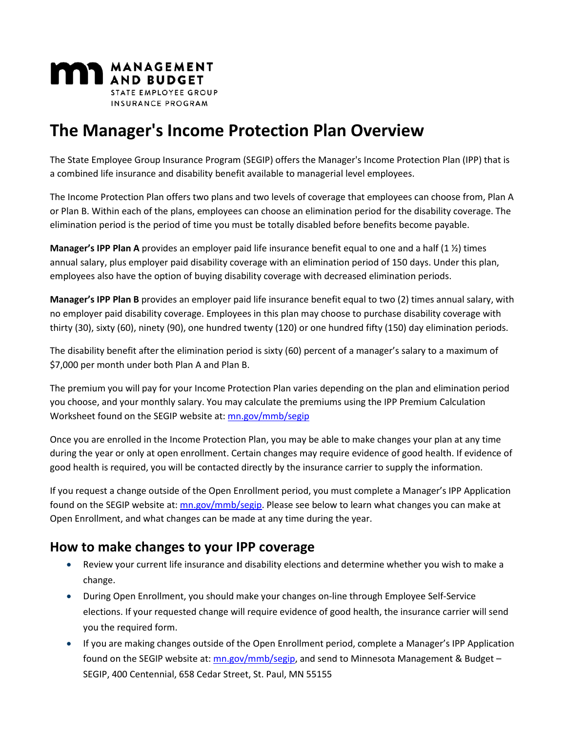

# **The Manager's Income Protection Plan Overview**

The State Employee Group Insurance Program (SEGIP) offers the Manager's Income Protection Plan (IPP) that is a combined life insurance and disability benefit available to managerial level employees.

The Income Protection Plan offers two plans and two levels of coverage that employees can choose from, Plan A or Plan B. Within each of the plans, employees can choose an elimination period for the disability coverage. The elimination period is the period of time you must be totally disabled before benefits become payable.

**Manager's IPP Plan A** provides an employer paid life insurance benefit equal to one and a half (1 ½) times annual salary, plus employer paid disability coverage with an elimination period of 150 days. Under this plan, employees also have the option of buying disability coverage with decreased elimination periods.

**Manager's IPP Plan B** provides an employer paid life insurance benefit equal to two (2) times annual salary, with no employer paid disability coverage. Employees in this plan may choose to purchase disability coverage with thirty (30), sixty (60), ninety (90), one hundred twenty (120) or one hundred fifty (150) day elimination periods.

The disability benefit after the elimination period is sixty (60) percent of a manager's salary to a maximum of \$7,000 per month under both Plan A and Plan B.

The premium you will pay for your Income Protection Plan varies depending on the plan and elimination period you choose, and your monthly salary. You may calculate the premiums using the IPP Premium Calculation Worksheet found on the SEGIP website at: [mn.gov/mmb/segip](https://www.mn.gov/mmb/segip)

Once you are enrolled in the Income Protection Plan, you may be able to make changes your plan at any time during the year or only at open enrollment. Certain changes may require evidence of good health. If evidence of good health is required, you will be contacted directly by the insurance carrier to supply the information.

If you request a change outside of the Open Enrollment period, you must complete a Manager's IPP Application found on the SEGIP website at:  $mn.gov/mmb/segip$ . Please see below to learn what changes you can make at Open Enrollment, and what changes can be made at any time during the year.

#### **How to make changes to your IPP coverage**

- Review your current life insurance and disability elections and determine whether you wish to make a change.
- During Open Enrollment, you should make your changes on-line through Employee Self-Service elections. If your requested change will require evidence of good health, the insurance carrier will send you the required form.
- If you are making changes outside of the Open Enrollment period, complete a Manager's IPP Application found on the SEGIP website at: [mn.gov/mmb/segip,](https://www.mn.gov/mmb/segip) and send to Minnesota Management & Budget – SEGIP, 400 Centennial, 658 Cedar Street, St. Paul, MN 55155